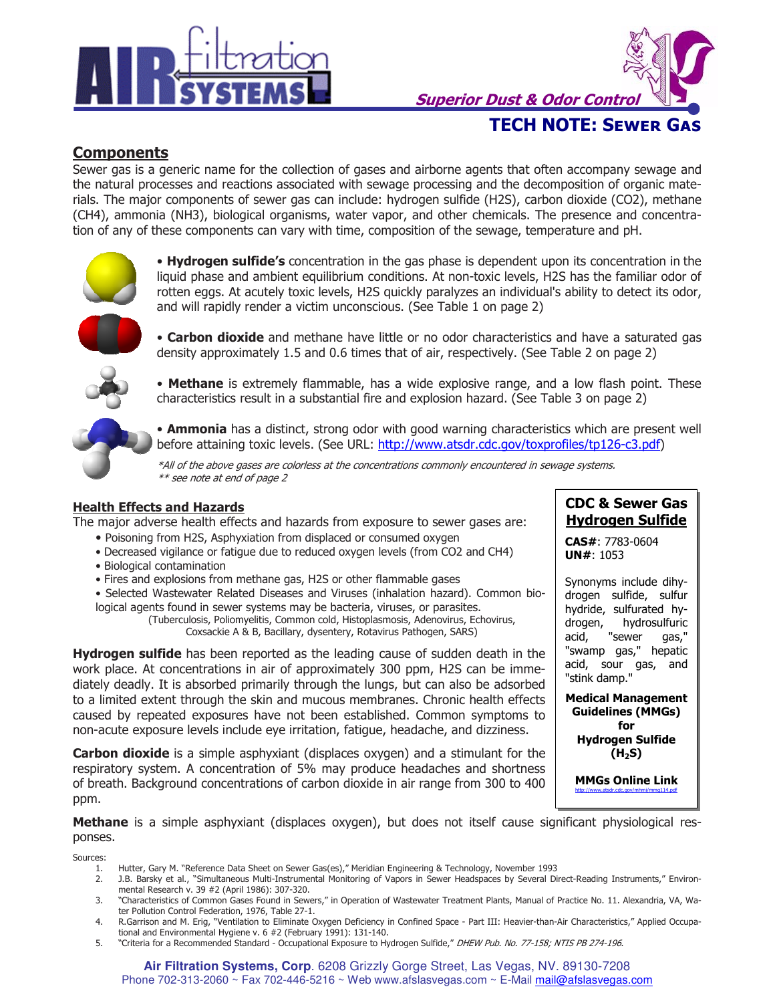

TECH NOTE: Sewer Gas **Superior Dust & Odor Control** 

## **Components**

Sewer gas is a generic name for the collection of gases and airborne agents that often accompany sewage and the natural processes and reactions associated with sewage processing and the decomposition of organic materials. The major components of sewer gas can include: hydrogen sulfide (H2S), carbon dioxide (CO2), methane (CH4), ammonia (NH3), biological organisms, water vapor, and other chemicals. The presence and concentration of any of these components can vary with time, composition of the sewage, temperature and pH.



• Hydrogen sulfide's concentration in the gas phase is dependent upon its concentration in the liquid phase and ambient equilibrium conditions. At non-toxic levels, H2S has the familiar odor of rotten eggs. At acutely toxic levels, H2S quickly paralyzes an individual's ability to detect its odor, and will rapidly render a victim unconscious. (See Table 1 on page 2)



• Carbon dioxide and methane have little or no odor characteristics and have a saturated gas density approximately 1.5 and 0.6 times that of air, respectively. (See Table 2 on page 2)



• Methane is extremely flammable, has a wide explosive range, and a low flash point. These characteristics result in a substantial fire and explosion hazard. (See Table 3 on page 2)

• **Ammonia** has a distinct, strong odor with good warning characteristics which are present well before attaining toxic levels. (See URL: http://www.atsdr.cdc.gov/toxprofiles/tp126-c3.pdf)

\*All of the above gases are colorless at the concentrations commonly encountered in sewage systems. \*\* see note at end of page 2

### Health Effects and Hazards

The major adverse health effects and hazards from exposure to sewer gases are:

- Poisoning from H2S, Asphyxiation from displaced or consumed oxygen
- Decreased vigilance or fatigue due to reduced oxygen levels (from CO2 and CH4)
- Biological contamination
- Fires and explosions from methane gas, H2S or other flammable gases

• Selected Wastewater Related Diseases and Viruses (inhalation hazard). Common biological agents found in sewer systems may be bacteria, viruses, or parasites.

(Tuberculosis, Poliomyelitis, Common cold, Histoplasmosis, Adenovirus, Echovirus, Coxsackie A & B, Bacillary, dysentery, Rotavirus Pathogen, SARS)

Hydrogen sulfide has been reported as the leading cause of sudden death in the work place. At concentrations in air of approximately 300 ppm, H2S can be immediately deadly. It is absorbed primarily through the lungs, but can also be adsorbed to a limited extent through the skin and mucous membranes. Chronic health effects caused by repeated exposures have not been established. Common symptoms to non-acute exposure levels include eye irritation, fatigue, headache, and dizziness.

**Carbon dioxide** is a simple asphyxiant (displaces oxygen) and a stimulant for the respiratory system. A concentration of 5% may produce headaches and shortness of breath. Background concentrations of carbon dioxide in air range from 300 to 400 ppm.

# CDC & Sewer Gas Hydrogen Sulfide

CAS#: 7783-0604 UN#: 1053

Synonyms include dihydrogen sulfide, sulfur hydride, sulfurated hydrogen, hydrosulfuric acid, "sewer gas," "swamp gas," hepatic acid, sour gas, and "stink damp."

Medical Management Guidelines (MMGs) for Hydrogen Sulfide  $(H<sub>2</sub>S)$ 

MMGs Online Link http://www.atsdr.cdc.gov/mhmi/mmg114.pdf

Methane is a simple asphyxiant (displaces oxygen), but does not itself cause significant physiological responses.

Sources:

- 1. Hutter, Gary M. "Reference Data Sheet on Sewer Gas(es)," Meridian Engineering & Technology, November 1993
- 2. J.B. Barsky et al., "Simultaneous Multi-Instrumental Monitoring of Vapors in Sewer Headspaces by Several Direct-Reading Instruments," Environmental Research v. 39 #2 (April 1986): 307-320.
- 3. "Characteristics of Common Gases Found in Sewers," in Operation of Wastewater Treatment Plants, Manual of Practice No. 11. Alexandria, VA, Water Pollution Control Federation, 1976, Table 27-1.
- 4. R.Garrison and M. Erig, "Ventilation to Eliminate Oxygen Deficiency in Confined Space Part III: Heavier-than-Air Characteristics," Applied Occupational and Environmental Hygiene v. 6 #2 (February 1991): 131-140.
- 5. "Criteria for a Recommended Standard Occupational Exposure to Hydrogen Sulfide," DHEW Pub. No. 77-158; NTIS PB 274-196.